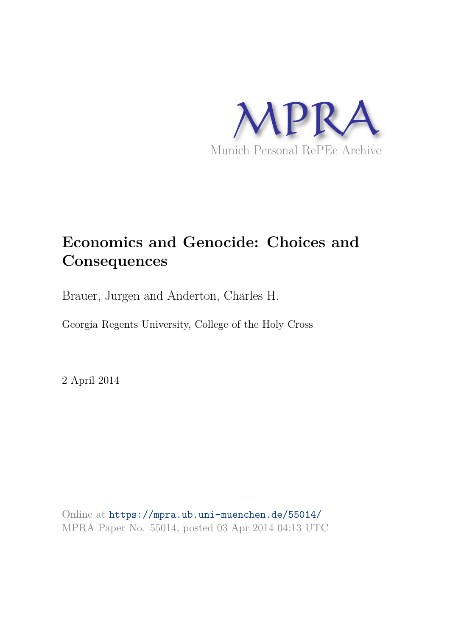

# **Economics and Genocide: Choices and Consequences**

Brauer, Jurgen and Anderton, Charles H.

Georgia Regents University, College of the Holy Cross

2 April 2014

Online at https://mpra.ub.uni-muenchen.de/55014/ MPRA Paper No. 55014, posted 03 Apr 2014 04:13 UTC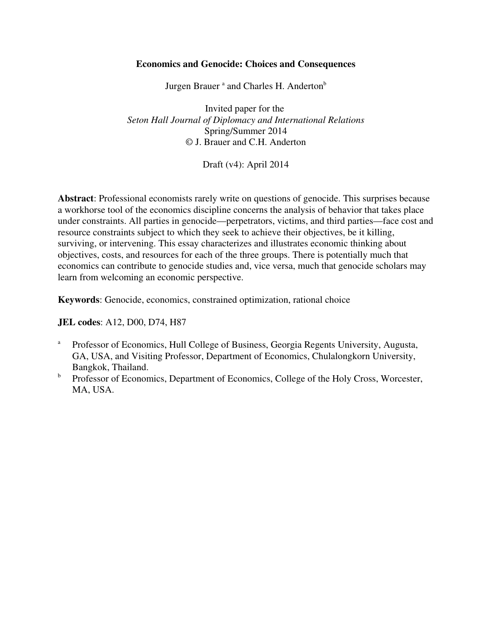# **Economics and Genocide: Choices and Consequences**

Jurgen Brauer<sup>a</sup> and Charles H. Anderton<sup>b</sup>

Invited paper for the *Seton Hall Journal of Diplomacy and International Relations* Spring/Summer 2014 © J. Brauer and C.H. Anderton

Draft (v4): April 2014

**Abstract**: Professional economists rarely write on questions of genocide. This surprises because a workhorse tool of the economics discipline concerns the analysis of behavior that takes place under constraints. All parties in genocide—perpetrators, victims, and third parties—face cost and resource constraints subject to which they seek to achieve their objectives, be it killing, surviving, or intervening. This essay characterizes and illustrates economic thinking about objectives, costs, and resources for each of the three groups. There is potentially much that economics can contribute to genocide studies and, vice versa, much that genocide scholars may learn from welcoming an economic perspective.

**Keywords**: Genocide, economics, constrained optimization, rational choice

**JEL codes**: A12, D00, D74, H87

- <sup>a</sup> Professor of Economics, Hull College of Business, Georgia Regents University, Augusta, GA, USA, and Visiting Professor, Department of Economics, Chulalongkorn University, Bangkok, Thailand.
- <sup>b</sup> Professor of Economics, Department of Economics, College of the Holy Cross, Worcester, MA, USA.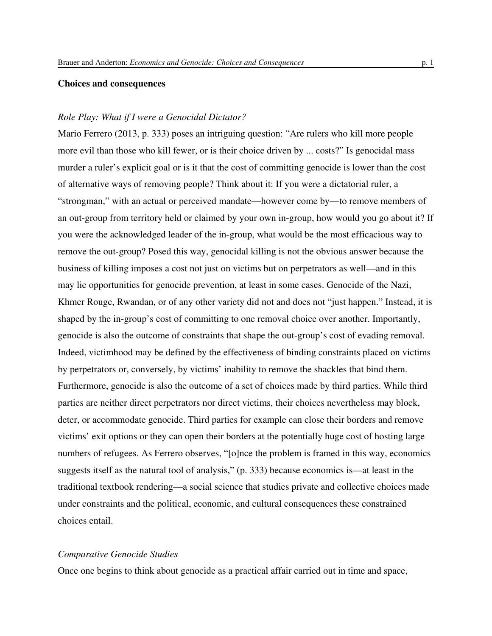# **Choices and consequences**

# *Role Play: What if I were a Genocidal Dictator?*

Mario Ferrero (2013, p. 333) poses an intriguing question: "Are rulers who kill more people more evil than those who kill fewer, or is their choice driven by ... costs?" Is genocidal mass murder a ruler's explicit goal or is it that the cost of committing genocide is lower than the cost of alternative ways of removing people? Think about it: If you were a dictatorial ruler, a "strongman," with an actual or perceived mandate—however come by—to remove members of an out-group from territory held or claimed by your own in-group, how would you go about it? If you were the acknowledged leader of the in-group, what would be the most efficacious way to remove the out-group? Posed this way, genocidal killing is not the obvious answer because the business of killing imposes a cost not just on victims but on perpetrators as well—and in this may lie opportunities for genocide prevention, at least in some cases. Genocide of the Nazi, Khmer Rouge, Rwandan, or of any other variety did not and does not "just happen." Instead, it is shaped by the in-group's cost of committing to one removal choice over another. Importantly, genocide is also the outcome of constraints that shape the out-group's cost of evading removal. Indeed, victimhood may be defined by the effectiveness of binding constraints placed on victims by perpetrators or, conversely, by victims' inability to remove the shackles that bind them. Furthermore, genocide is also the outcome of a set of choices made by third parties. While third parties are neither direct perpetrators nor direct victims, their choices nevertheless may block, deter, or accommodate genocide. Third parties for example can close their borders and remove victims' exit options or they can open their borders at the potentially huge cost of hosting large numbers of refugees. As Ferrero observes, "[o]nce the problem is framed in this way, economics suggests itself as the natural tool of analysis," (p. 333) because economics is—at least in the traditional textbook rendering—a social science that studies private and collective choices made under constraints and the political, economic, and cultural consequences these constrained choices entail.

# *Comparative Genocide Studies*

Once one begins to think about genocide as a practical affair carried out in time and space,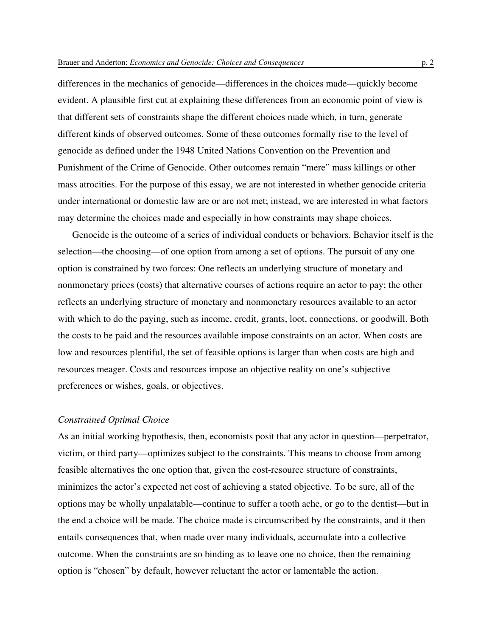differences in the mechanics of genocide—differences in the choices made—quickly become evident. A plausible first cut at explaining these differences from an economic point of view is that different sets of constraints shape the different choices made which, in turn, generate different kinds of observed outcomes. Some of these outcomes formally rise to the level of genocide as defined under the 1948 United Nations Convention on the Prevention and Punishment of the Crime of Genocide. Other outcomes remain "mere" mass killings or other mass atrocities. For the purpose of this essay, we are not interested in whether genocide criteria under international or domestic law are or are not met; instead, we are interested in what factors may determine the choices made and especially in how constraints may shape choices.

Genocide is the outcome of a series of individual conducts or behaviors. Behavior itself is the selection—the choosing—of one option from among a set of options. The pursuit of any one option is constrained by two forces: One reflects an underlying structure of monetary and nonmonetary prices (costs) that alternative courses of actions require an actor to pay; the other reflects an underlying structure of monetary and nonmonetary resources available to an actor with which to do the paying, such as income, credit, grants, loot, connections, or goodwill. Both the costs to be paid and the resources available impose constraints on an actor. When costs are low and resources plentiful, the set of feasible options is larger than when costs are high and resources meager. Costs and resources impose an objective reality on one's subjective preferences or wishes, goals, or objectives.

#### *Constrained Optimal Choice*

As an initial working hypothesis, then, economists posit that any actor in question—perpetrator, victim, or third party—optimizes subject to the constraints. This means to choose from among feasible alternatives the one option that, given the cost-resource structure of constraints, minimizes the actor's expected net cost of achieving a stated objective. To be sure, all of the options may be wholly unpalatable—continue to suffer a tooth ache, or go to the dentist—but in the end a choice will be made. The choice made is circumscribed by the constraints, and it then entails consequences that, when made over many individuals, accumulate into a collective outcome. When the constraints are so binding as to leave one no choice, then the remaining option is "chosen" by default, however reluctant the actor or lamentable the action.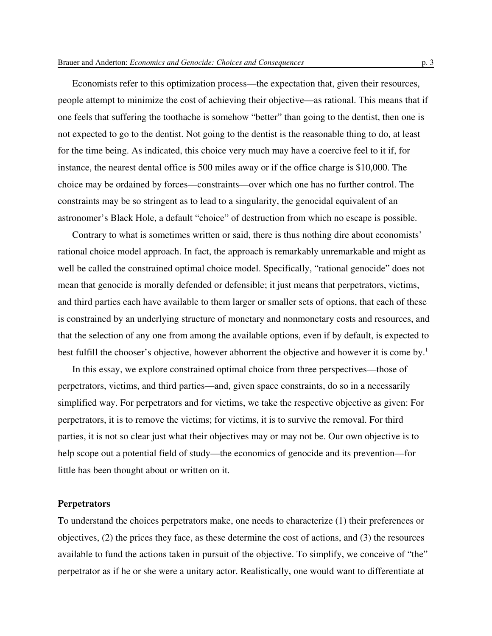Economists refer to this optimization process—the expectation that, given their resources, people attempt to minimize the cost of achieving their objective—as rational. This means that if one feels that suffering the toothache is somehow "better" than going to the dentist, then one is not expected to go to the dentist. Not going to the dentist is the reasonable thing to do, at least for the time being. As indicated, this choice very much may have a coercive feel to it if, for instance, the nearest dental office is 500 miles away or if the office charge is \$10,000. The choice may be ordained by forces—constraints—over which one has no further control. The constraints may be so stringent as to lead to a singularity, the genocidal equivalent of an astronomer's Black Hole, a default "choice" of destruction from which no escape is possible.

Contrary to what is sometimes written or said, there is thus nothing dire about economists' rational choice model approach. In fact, the approach is remarkably unremarkable and might as well be called the constrained optimal choice model. Specifically, "rational genocide" does not mean that genocide is morally defended or defensible; it just means that perpetrators, victims, and third parties each have available to them larger or smaller sets of options, that each of these is constrained by an underlying structure of monetary and nonmonetary costs and resources, and that the selection of any one from among the available options, even if by default, is expected to best fulfill the chooser's objective, however abhorrent the objective and however it is come by.<sup>1</sup>

In this essay, we explore constrained optimal choice from three perspectives—those of perpetrators, victims, and third parties—and, given space constraints, do so in a necessarily simplified way. For perpetrators and for victims, we take the respective objective as given: For perpetrators, it is to remove the victims; for victims, it is to survive the removal. For third parties, it is not so clear just what their objectives may or may not be. Our own objective is to help scope out a potential field of study—the economics of genocide and its prevention—for little has been thought about or written on it.

#### **Perpetrators**

To understand the choices perpetrators make, one needs to characterize (1) their preferences or objectives, (2) the prices they face, as these determine the cost of actions, and (3) the resources available to fund the actions taken in pursuit of the objective. To simplify, we conceive of "the" perpetrator as if he or she were a unitary actor. Realistically, one would want to differentiate at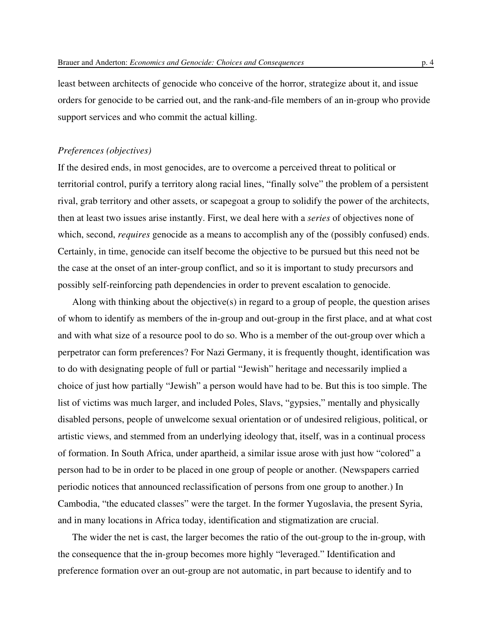least between architects of genocide who conceive of the horror, strategize about it, and issue orders for genocide to be carried out, and the rank-and-file members of an in-group who provide support services and who commit the actual killing.

## *Preferences (objectives)*

If the desired ends, in most genocides, are to overcome a perceived threat to political or territorial control, purify a territory along racial lines, "finally solve" the problem of a persistent rival, grab territory and other assets, or scapegoat a group to solidify the power of the architects, then at least two issues arise instantly. First, we deal here with a *series* of objectives none of which, second, *requires* genocide as a means to accomplish any of the (possibly confused) ends. Certainly, in time, genocide can itself become the objective to be pursued but this need not be the case at the onset of an inter-group conflict, and so it is important to study precursors and possibly self-reinforcing path dependencies in order to prevent escalation to genocide.

Along with thinking about the objective(s) in regard to a group of people, the question arises of whom to identify as members of the in-group and out-group in the first place, and at what cost and with what size of a resource pool to do so. Who is a member of the out-group over which a perpetrator can form preferences? For Nazi Germany, it is frequently thought, identification was to do with designating people of full or partial "Jewish" heritage and necessarily implied a choice of just how partially "Jewish" a person would have had to be. But this is too simple. The list of victims was much larger, and included Poles, Slavs, "gypsies," mentally and physically disabled persons, people of unwelcome sexual orientation or of undesired religious, political, or artistic views, and stemmed from an underlying ideology that, itself, was in a continual process of formation. In South Africa, under apartheid, a similar issue arose with just how "colored" a person had to be in order to be placed in one group of people or another. (Newspapers carried periodic notices that announced reclassification of persons from one group to another.) In Cambodia, "the educated classes" were the target. In the former Yugoslavia, the present Syria, and in many locations in Africa today, identification and stigmatization are crucial.

The wider the net is cast, the larger becomes the ratio of the out-group to the in-group, with the consequence that the in-group becomes more highly "leveraged." Identification and preference formation over an out-group are not automatic, in part because to identify and to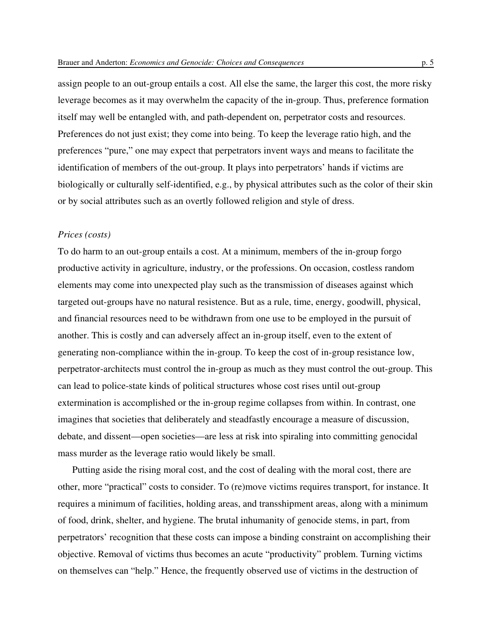assign people to an out-group entails a cost. All else the same, the larger this cost, the more risky leverage becomes as it may overwhelm the capacity of the in-group. Thus, preference formation itself may well be entangled with, and path-dependent on, perpetrator costs and resources. Preferences do not just exist; they come into being. To keep the leverage ratio high, and the preferences "pure," one may expect that perpetrators invent ways and means to facilitate the identification of members of the out-group. It plays into perpetrators' hands if victims are biologically or culturally self-identified, e.g., by physical attributes such as the color of their skin or by social attributes such as an overtly followed religion and style of dress.

## *Prices (costs)*

To do harm to an out-group entails a cost. At a minimum, members of the in-group forgo productive activity in agriculture, industry, or the professions. On occasion, costless random elements may come into unexpected play such as the transmission of diseases against which targeted out-groups have no natural resistence. But as a rule, time, energy, goodwill, physical, and financial resources need to be withdrawn from one use to be employed in the pursuit of another. This is costly and can adversely affect an in-group itself, even to the extent of generating non-compliance within the in-group. To keep the cost of in-group resistance low, perpetrator-architects must control the in-group as much as they must control the out-group. This can lead to police-state kinds of political structures whose cost rises until out-group extermination is accomplished or the in-group regime collapses from within. In contrast, one imagines that societies that deliberately and steadfastly encourage a measure of discussion, debate, and dissent—open societies—are less at risk into spiraling into committing genocidal mass murder as the leverage ratio would likely be small.

Putting aside the rising moral cost, and the cost of dealing with the moral cost, there are other, more "practical" costs to consider. To (re)move victims requires transport, for instance. It requires a minimum of facilities, holding areas, and transshipment areas, along with a minimum of food, drink, shelter, and hygiene. The brutal inhumanity of genocide stems, in part, from perpetrators' recognition that these costs can impose a binding constraint on accomplishing their objective. Removal of victims thus becomes an acute "productivity" problem. Turning victims on themselves can "help." Hence, the frequently observed use of victims in the destruction of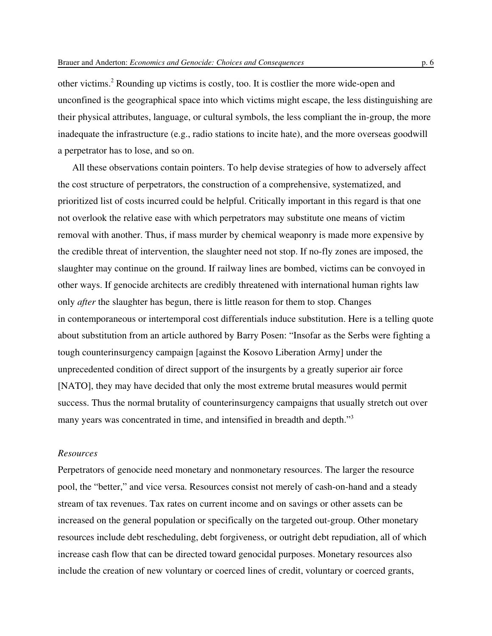other victims.<sup>2</sup> Rounding up victims is costly, too. It is costlier the more wide-open and unconfined is the geographical space into which victims might escape, the less distinguishing are their physical attributes, language, or cultural symbols, the less compliant the in-group, the more inadequate the infrastructure (e.g., radio stations to incite hate), and the more overseas goodwill a perpetrator has to lose, and so on.

All these observations contain pointers. To help devise strategies of how to adversely affect the cost structure of perpetrators, the construction of a comprehensive, systematized, and prioritized list of costs incurred could be helpful. Critically important in this regard is that one not overlook the relative ease with which perpetrators may substitute one means of victim removal with another. Thus, if mass murder by chemical weaponry is made more expensive by the credible threat of intervention, the slaughter need not stop. If no-fly zones are imposed, the slaughter may continue on the ground. If railway lines are bombed, victims can be convoyed in other ways. If genocide architects are credibly threatened with international human rights law only *after* the slaughter has begun, there is little reason for them to stop. Changes in contemporaneous or intertemporal cost differentials induce substitution. Here is a telling quote about substitution from an article authored by Barry Posen: "Insofar as the Serbs were fighting a tough counterinsurgency campaign [against the Kosovo Liberation Army] under the unprecedented condition of direct support of the insurgents by a greatly superior air force [NATO], they may have decided that only the most extreme brutal measures would permit success. Thus the normal brutality of counterinsurgency campaigns that usually stretch out over many years was concentrated in time, and intensified in breadth and depth."<sup>3</sup>

## *Resources*

Perpetrators of genocide need monetary and nonmonetary resources. The larger the resource pool, the "better," and vice versa. Resources consist not merely of cash-on-hand and a steady stream of tax revenues. Tax rates on current income and on savings or other assets can be increased on the general population or specifically on the targeted out-group. Other monetary resources include debt rescheduling, debt forgiveness, or outright debt repudiation, all of which increase cash flow that can be directed toward genocidal purposes. Monetary resources also include the creation of new voluntary or coerced lines of credit, voluntary or coerced grants,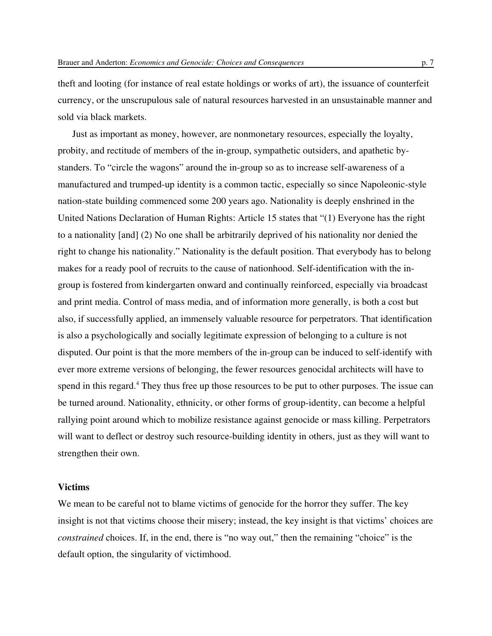theft and looting (for instance of real estate holdings or works of art), the issuance of counterfeit currency, or the unscrupulous sale of natural resources harvested in an unsustainable manner and sold via black markets.

Just as important as money, however, are nonmonetary resources, especially the loyalty, probity, and rectitude of members of the in-group, sympathetic outsiders, and apathetic bystanders. To "circle the wagons" around the in-group so as to increase self-awareness of a manufactured and trumped-up identity is a common tactic, especially so since Napoleonic-style nation-state building commenced some 200 years ago. Nationality is deeply enshrined in the United Nations Declaration of Human Rights: Article 15 states that "(1) Everyone has the right to a nationality [and] (2) No one shall be arbitrarily deprived of his nationality nor denied the right to change his nationality." Nationality is the default position. That everybody has to belong makes for a ready pool of recruits to the cause of nationhood. Self-identification with the ingroup is fostered from kindergarten onward and continually reinforced, especially via broadcast and print media. Control of mass media, and of information more generally, is both a cost but also, if successfully applied, an immensely valuable resource for perpetrators. That identification is also a psychologically and socially legitimate expression of belonging to a culture is not disputed. Our point is that the more members of the in-group can be induced to self-identify with ever more extreme versions of belonging, the fewer resources genocidal architects will have to spend in this regard.<sup>4</sup> They thus free up those resources to be put to other purposes. The issue can be turned around. Nationality, ethnicity, or other forms of group-identity, can become a helpful rallying point around which to mobilize resistance against genocide or mass killing. Perpetrators will want to deflect or destroy such resource-building identity in others, just as they will want to strengthen their own.

## **Victims**

We mean to be careful not to blame victims of genocide for the horror they suffer. The key insight is not that victims choose their misery; instead, the key insight is that victims' choices are *constrained* choices. If, in the end, there is "no way out," then the remaining "choice" is the default option, the singularity of victimhood.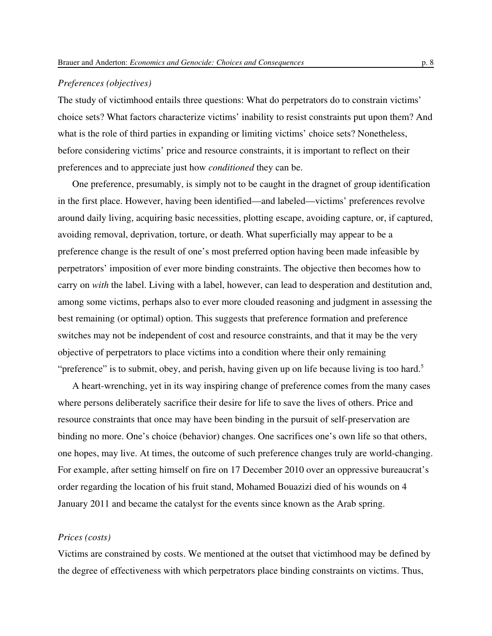# *Preferences (objectives)*

The study of victimhood entails three questions: What do perpetrators do to constrain victims' choice sets? What factors characterize victims' inability to resist constraints put upon them? And what is the role of third parties in expanding or limiting victims' choice sets? Nonetheless, before considering victims' price and resource constraints, it is important to reflect on their preferences and to appreciate just how *conditioned* they can be.

One preference, presumably, is simply not to be caught in the dragnet of group identification in the first place. However, having been identified—and labeled—victims' preferences revolve around daily living, acquiring basic necessities, plotting escape, avoiding capture, or, if captured, avoiding removal, deprivation, torture, or death. What superficially may appear to be a preference change is the result of one's most preferred option having been made infeasible by perpetrators' imposition of ever more binding constraints. The objective then becomes how to carry on *with* the label. Living with a label, however, can lead to desperation and destitution and, among some victims, perhaps also to ever more clouded reasoning and judgment in assessing the best remaining (or optimal) option. This suggests that preference formation and preference switches may not be independent of cost and resource constraints, and that it may be the very objective of perpetrators to place victims into a condition where their only remaining "preference" is to submit, obey, and perish, having given up on life because living is too hard.<sup>5</sup>

A heart-wrenching, yet in its way inspiring change of preference comes from the many cases where persons deliberately sacrifice their desire for life to save the lives of others. Price and resource constraints that once may have been binding in the pursuit of self-preservation are binding no more. One's choice (behavior) changes. One sacrifices one's own life so that others, one hopes, may live. At times, the outcome of such preference changes truly are world-changing. For example, after setting himself on fire on 17 December 2010 over an oppressive bureaucrat's order regarding the location of his fruit stand, Mohamed Bouazizi died of his wounds on 4 January 2011 and became the catalyst for the events since known as the Arab spring.

## *Prices (costs)*

Victims are constrained by costs. We mentioned at the outset that victimhood may be defined by the degree of effectiveness with which perpetrators place binding constraints on victims. Thus,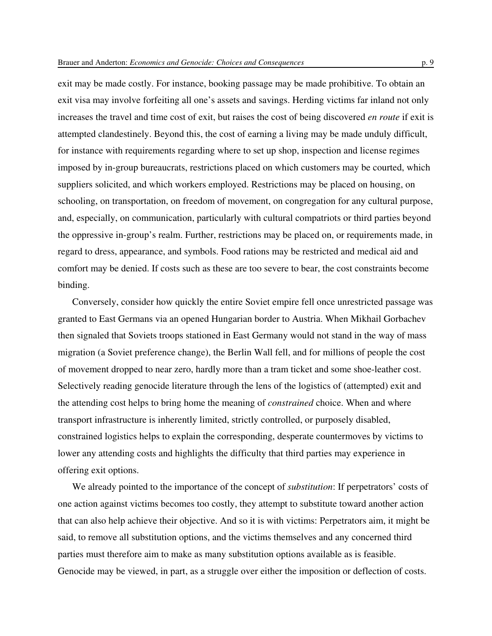exit may be made costly. For instance, booking passage may be made prohibitive. To obtain an exit visa may involve forfeiting all one's assets and savings. Herding victims far inland not only increases the travel and time cost of exit, but raises the cost of being discovered *en route* if exit is attempted clandestinely. Beyond this, the cost of earning a living may be made unduly difficult, for instance with requirements regarding where to set up shop, inspection and license regimes imposed by in-group bureaucrats, restrictions placed on which customers may be courted, which suppliers solicited, and which workers employed. Restrictions may be placed on housing, on schooling, on transportation, on freedom of movement, on congregation for any cultural purpose, and, especially, on communication, particularly with cultural compatriots or third parties beyond the oppressive in-group's realm. Further, restrictions may be placed on, or requirements made, in regard to dress, appearance, and symbols. Food rations may be restricted and medical aid and comfort may be denied. If costs such as these are too severe to bear, the cost constraints become binding.

Conversely, consider how quickly the entire Soviet empire fell once unrestricted passage was granted to East Germans via an opened Hungarian border to Austria. When Mikhail Gorbachev then signaled that Soviets troops stationed in East Germany would not stand in the way of mass migration (a Soviet preference change), the Berlin Wall fell, and for millions of people the cost of movement dropped to near zero, hardly more than a tram ticket and some shoe-leather cost. Selectively reading genocide literature through the lens of the logistics of (attempted) exit and the attending cost helps to bring home the meaning of *constrained* choice. When and where transport infrastructure is inherently limited, strictly controlled, or purposely disabled, constrained logistics helps to explain the corresponding, desperate countermoves by victims to lower any attending costs and highlights the difficulty that third parties may experience in offering exit options.

We already pointed to the importance of the concept of *substitution*: If perpetrators' costs of one action against victims becomes too costly, they attempt to substitute toward another action that can also help achieve their objective. And so it is with victims: Perpetrators aim, it might be said, to remove all substitution options, and the victims themselves and any concerned third parties must therefore aim to make as many substitution options available as is feasible. Genocide may be viewed, in part, as a struggle over either the imposition or deflection of costs.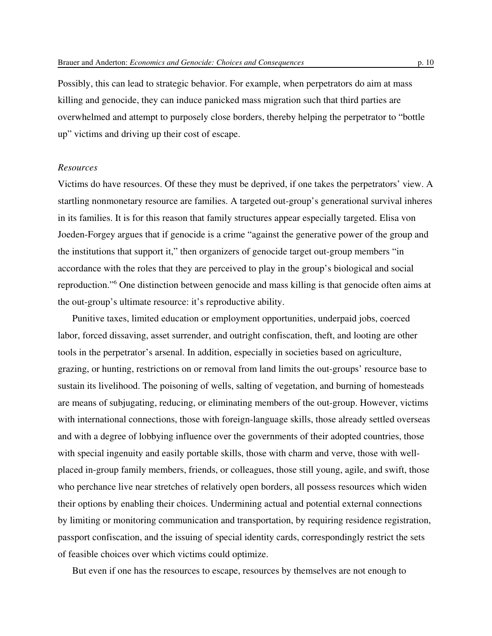Possibly, this can lead to strategic behavior. For example, when perpetrators do aim at mass killing and genocide, they can induce panicked mass migration such that third parties are overwhelmed and attempt to purposely close borders, thereby helping the perpetrator to "bottle up" victims and driving up their cost of escape.

# *Resources*

Victims do have resources. Of these they must be deprived, if one takes the perpetrators' view. A startling nonmonetary resource are families. A targeted out-group's generational survival inheres in its families. It is for this reason that family structures appear especially targeted. Elisa von Joeden-Forgey argues that if genocide is a crime "against the generative power of the group and the institutions that support it," then organizers of genocide target out-group members "in accordance with the roles that they are perceived to play in the group's biological and social reproduction."<sup>6</sup> One distinction between genocide and mass killing is that genocide often aims at the out-group's ultimate resource: it's reproductive ability.

Punitive taxes, limited education or employment opportunities, underpaid jobs, coerced labor, forced dissaving, asset surrender, and outright confiscation, theft, and looting are other tools in the perpetrator's arsenal. In addition, especially in societies based on agriculture, grazing, or hunting, restrictions on or removal from land limits the out-groups' resource base to sustain its livelihood. The poisoning of wells, salting of vegetation, and burning of homesteads are means of subjugating, reducing, or eliminating members of the out-group. However, victims with international connections, those with foreign-language skills, those already settled overseas and with a degree of lobbying influence over the governments of their adopted countries, those with special ingenuity and easily portable skills, those with charm and verve, those with wellplaced in-group family members, friends, or colleagues, those still young, agile, and swift, those who perchance live near stretches of relatively open borders, all possess resources which widen their options by enabling their choices. Undermining actual and potential external connections by limiting or monitoring communication and transportation, by requiring residence registration, passport confiscation, and the issuing of special identity cards, correspondingly restrict the sets of feasible choices over which victims could optimize.

But even if one has the resources to escape, resources by themselves are not enough to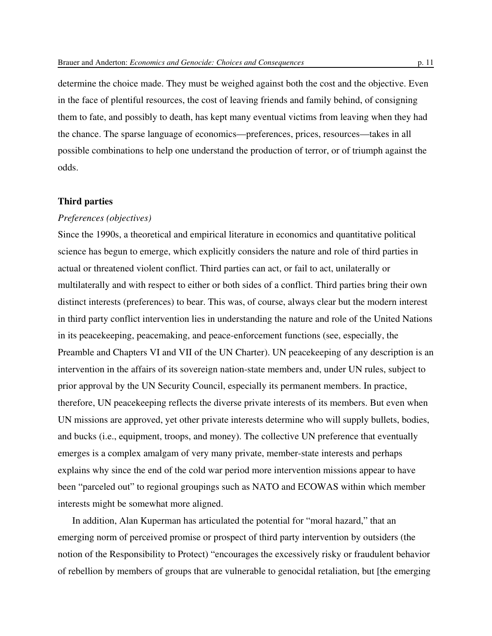determine the choice made. They must be weighed against both the cost and the objective. Even in the face of plentiful resources, the cost of leaving friends and family behind, of consigning them to fate, and possibly to death, has kept many eventual victims from leaving when they had the chance. The sparse language of economics—preferences, prices, resources—takes in all possible combinations to help one understand the production of terror, or of triumph against the odds.

#### **Third parties**

#### *Preferences (objectives)*

Since the 1990s, a theoretical and empirical literature in economics and quantitative political science has begun to emerge, which explicitly considers the nature and role of third parties in actual or threatened violent conflict. Third parties can act, or fail to act, unilaterally or multilaterally and with respect to either or both sides of a conflict. Third parties bring their own distinct interests (preferences) to bear. This was, of course, always clear but the modern interest in third party conflict intervention lies in understanding the nature and role of the United Nations in its peacekeeping, peacemaking, and peace-enforcement functions (see, especially, the Preamble and Chapters VI and VII of the UN Charter). UN peacekeeping of any description is an intervention in the affairs of its sovereign nation-state members and, under UN rules, subject to prior approval by the UN Security Council, especially its permanent members. In practice, therefore, UN peacekeeping reflects the diverse private interests of its members. But even when UN missions are approved, yet other private interests determine who will supply bullets, bodies, and bucks (i.e., equipment, troops, and money). The collective UN preference that eventually emerges is a complex amalgam of very many private, member-state interests and perhaps explains why since the end of the cold war period more intervention missions appear to have been "parceled out" to regional groupings such as NATO and ECOWAS within which member interests might be somewhat more aligned.

In addition, Alan Kuperman has articulated the potential for "moral hazard," that an emerging norm of perceived promise or prospect of third party intervention by outsiders (the notion of the Responsibility to Protect) "encourages the excessively risky or fraudulent behavior of rebellion by members of groups that are vulnerable to genocidal retaliation, but [the emerging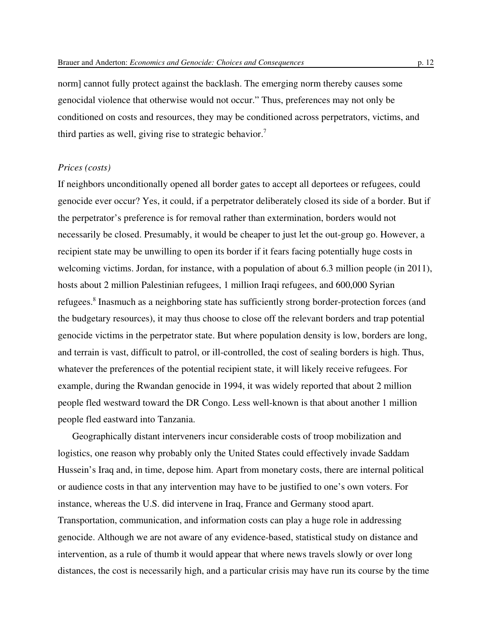norm] cannot fully protect against the backlash. The emerging norm thereby causes some genocidal violence that otherwise would not occur." Thus, preferences may not only be conditioned on costs and resources, they may be conditioned across perpetrators, victims, and third parties as well, giving rise to strategic behavior.<sup>7</sup>

## *Prices (costs)*

If neighbors unconditionally opened all border gates to accept all deportees or refugees, could genocide ever occur? Yes, it could, if a perpetrator deliberately closed its side of a border. But if the perpetrator's preference is for removal rather than extermination, borders would not necessarily be closed. Presumably, it would be cheaper to just let the out-group go. However, a recipient state may be unwilling to open its border if it fears facing potentially huge costs in welcoming victims. Jordan, for instance, with a population of about 6.3 million people (in 2011), hosts about 2 million Palestinian refugees, 1 million Iraqi refugees, and 600,000 Syrian refugees.<sup>8</sup> Inasmuch as a neighboring state has sufficiently strong border-protection forces (and the budgetary resources), it may thus choose to close off the relevant borders and trap potential genocide victims in the perpetrator state. But where population density is low, borders are long, and terrain is vast, difficult to patrol, or ill-controlled, the cost of sealing borders is high. Thus, whatever the preferences of the potential recipient state, it will likely receive refugees. For example, during the Rwandan genocide in 1994, it was widely reported that about 2 million people fled westward toward the DR Congo. Less well-known is that about another 1 million people fled eastward into Tanzania.

Geographically distant interveners incur considerable costs of troop mobilization and logistics, one reason why probably only the United States could effectively invade Saddam Hussein's Iraq and, in time, depose him. Apart from monetary costs, there are internal political or audience costs in that any intervention may have to be justified to one's own voters. For instance, whereas the U.S. did intervene in Iraq, France and Germany stood apart. Transportation, communication, and information costs can play a huge role in addressing genocide. Although we are not aware of any evidence-based, statistical study on distance and intervention, as a rule of thumb it would appear that where news travels slowly or over long distances, the cost is necessarily high, and a particular crisis may have run its course by the time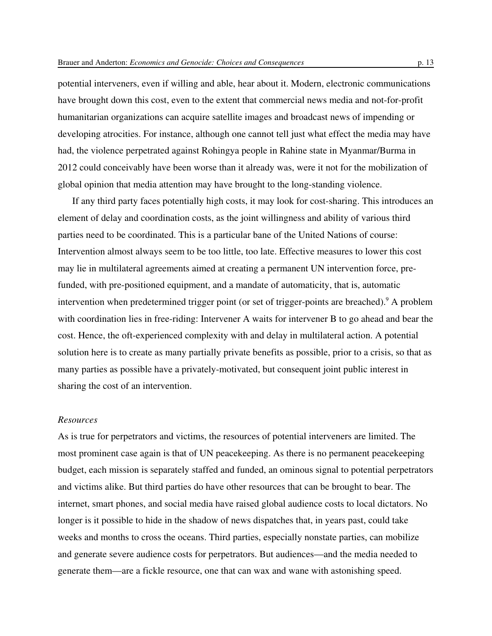potential interveners, even if willing and able, hear about it. Modern, electronic communications have brought down this cost, even to the extent that commercial news media and not-for-profit humanitarian organizations can acquire satellite images and broadcast news of impending or developing atrocities. For instance, although one cannot tell just what effect the media may have had, the violence perpetrated against Rohingya people in Rahine state in Myanmar/Burma in 2012 could conceivably have been worse than it already was, were it not for the mobilization of global opinion that media attention may have brought to the long-standing violence.

If any third party faces potentially high costs, it may look for cost-sharing. This introduces an element of delay and coordination costs, as the joint willingness and ability of various third parties need to be coordinated. This is a particular bane of the United Nations of course: Intervention almost always seem to be too little, too late. Effective measures to lower this cost may lie in multilateral agreements aimed at creating a permanent UN intervention force, prefunded, with pre-positioned equipment, and a mandate of automaticity, that is, automatic intervention when predetermined trigger point (or set of trigger-points are breached).<sup>9</sup> A problem with coordination lies in free-riding: Intervener A waits for intervener B to go ahead and bear the cost. Hence, the oft-experienced complexity with and delay in multilateral action. A potential solution here is to create as many partially private benefits as possible, prior to a crisis, so that as many parties as possible have a privately-motivated, but consequent joint public interest in sharing the cost of an intervention.

## *Resources*

As is true for perpetrators and victims, the resources of potential interveners are limited. The most prominent case again is that of UN peacekeeping. As there is no permanent peacekeeping budget, each mission is separately staffed and funded, an ominous signal to potential perpetrators and victims alike. But third parties do have other resources that can be brought to bear. The internet, smart phones, and social media have raised global audience costs to local dictators. No longer is it possible to hide in the shadow of news dispatches that, in years past, could take weeks and months to cross the oceans. Third parties, especially nonstate parties, can mobilize and generate severe audience costs for perpetrators. But audiences—and the media needed to generate them—are a fickle resource, one that can wax and wane with astonishing speed.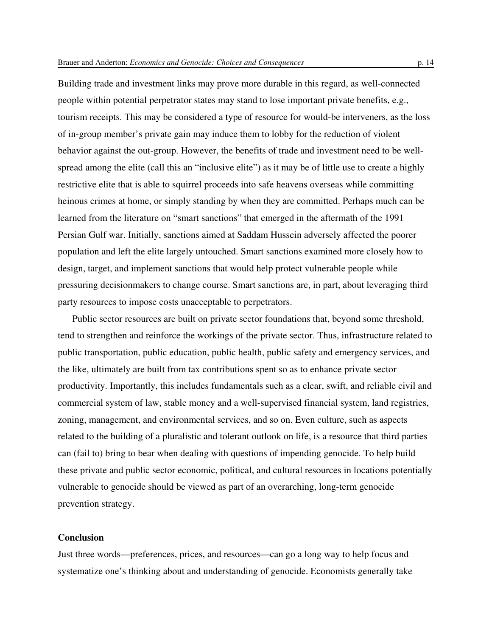Building trade and investment links may prove more durable in this regard, as well-connected people within potential perpetrator states may stand to lose important private benefits, e.g., tourism receipts. This may be considered a type of resource for would-be interveners, as the loss of in-group member's private gain may induce them to lobby for the reduction of violent behavior against the out-group. However, the benefits of trade and investment need to be wellspread among the elite (call this an "inclusive elite") as it may be of little use to create a highly restrictive elite that is able to squirrel proceeds into safe heavens overseas while committing heinous crimes at home, or simply standing by when they are committed. Perhaps much can be learned from the literature on "smart sanctions" that emerged in the aftermath of the 1991 Persian Gulf war. Initially, sanctions aimed at Saddam Hussein adversely affected the poorer population and left the elite largely untouched. Smart sanctions examined more closely how to design, target, and implement sanctions that would help protect vulnerable people while pressuring decisionmakers to change course. Smart sanctions are, in part, about leveraging third party resources to impose costs unacceptable to perpetrators.

Public sector resources are built on private sector foundations that, beyond some threshold, tend to strengthen and reinforce the workings of the private sector. Thus, infrastructure related to public transportation, public education, public health, public safety and emergency services, and the like, ultimately are built from tax contributions spent so as to enhance private sector productivity. Importantly, this includes fundamentals such as a clear, swift, and reliable civil and commercial system of law, stable money and a well-supervised financial system, land registries, zoning, management, and environmental services, and so on. Even culture, such as aspects related to the building of a pluralistic and tolerant outlook on life, is a resource that third parties can (fail to) bring to bear when dealing with questions of impending genocide. To help build these private and public sector economic, political, and cultural resources in locations potentially vulnerable to genocide should be viewed as part of an overarching, long-term genocide prevention strategy.

## **Conclusion**

Just three words—preferences, prices, and resources—can go a long way to help focus and systematize one's thinking about and understanding of genocide. Economists generally take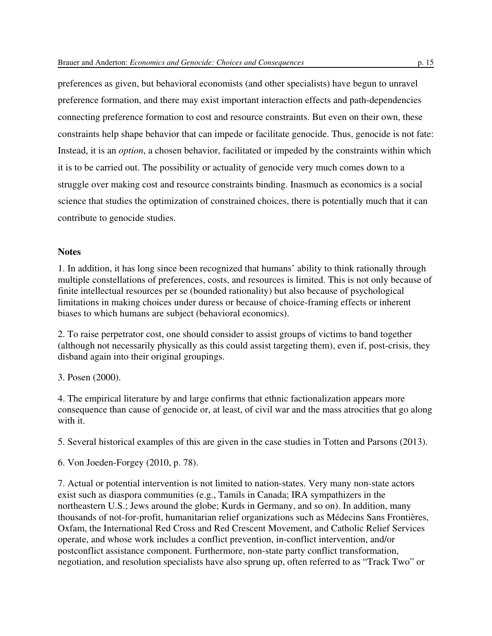preferences as given, but behavioral economists (and other specialists) have begun to unravel preference formation, and there may exist important interaction effects and path-dependencies connecting preference formation to cost and resource constraints. But even on their own, these constraints help shape behavior that can impede or facilitate genocide. Thus, genocide is not fate: Instead, it is an *option*, a chosen behavior, facilitated or impeded by the constraints within which it is to be carried out. The possibility or actuality of genocide very much comes down to a struggle over making cost and resource constraints binding. Inasmuch as economics is a social science that studies the optimization of constrained choices, there is potentially much that it can contribute to genocide studies.

# **Notes**

1. In addition, it has long since been recognized that humans' ability to think rationally through multiple constellations of preferences, costs, and resources is limited. This is not only because of finite intellectual resources per se (bounded rationality) but also because of psychological limitations in making choices under duress or because of choice-framing effects or inherent biases to which humans are subject (behavioral economics).

2. To raise perpetrator cost, one should consider to assist groups of victims to band together (although not necessarily physically as this could assist targeting them), even if, post-crisis, they disband again into their original groupings.

3. Posen (2000).

4. The empirical literature by and large confirms that ethnic factionalization appears more consequence than cause of genocide or, at least, of civil war and the mass atrocities that go along with it.

5. Several historical examples of this are given in the case studies in Totten and Parsons (2013).

6. Von Joeden-Forgey (2010, p. 78).

7. Actual or potential intervention is not limited to nation-states. Very many non-state actors exist such as diaspora communities (e.g., Tamils in Canada; IRA sympathizers in the northeastern U.S.; Jews around the globe; Kurds in Germany, and so on). In addition, many thousands of not-for-profit, humanitarian relief organizations such as Médecins Sans Frontières, Oxfam, the International Red Cross and Red Crescent Movement, and Catholic Relief Services operate, and whose work includes a conflict prevention, in-conflict intervention, and/or postconflict assistance component. Furthermore, non-state party conflict transformation, negotiation, and resolution specialists have also sprung up, often referred to as "Track Two" or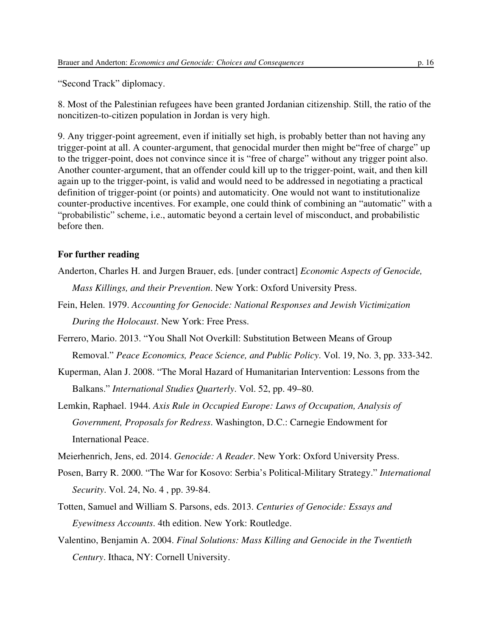"Second Track" diplomacy.

8. Most of the Palestinian refugees have been granted Jordanian citizenship. Still, the ratio of the noncitizen-to-citizen population in Jordan is very high.

9. Any trigger-point agreement, even if initially set high, is probably better than not having any trigger-point at all. A counter-argument, that genocidal murder then might be"free of charge" up to the trigger-point, does not convince since it is "free of charge" without any trigger point also. Another counter-argument, that an offender could kill up to the trigger-point, wait, and then kill again up to the trigger-point, is valid and would need to be addressed in negotiating a practical definition of trigger-point (or points) and automaticity. One would not want to institutionalize counter-productive incentives. For example, one could think of combining an "automatic" with a "probabilistic" scheme, i.e., automatic beyond a certain level of misconduct, and probabilistic before then.

# **For further reading**

- Anderton, Charles H. and Jurgen Brauer, eds. [under contract] *Economic Aspects of Genocide, Mass Killings, and their Prevention*. New York: Oxford University Press.
- Fein, Helen. 1979. *Accounting for Genocide: National Responses and Jewish Victimization During the Holocaust*. New York: Free Press.
- Ferrero, Mario. 2013. "You Shall Not Overkill: Substitution Between Means of Group Removal." *Peace Economics, Peace Science, and Public Policy*. Vol. 19, No. 3, pp. 333-342.
- Kuperman, Alan J. 2008. "The Moral Hazard of Humanitarian Intervention: Lessons from the Balkans." *International Studies Quarterly*. Vol. 52, pp. 49–80.
- Lemkin, Raphael. 1944. *Axis Rule in Occupied Europe: Laws of Occupation, Analysis of Government, Proposals for Redress*. Washington, D.C.: Carnegie Endowment for International Peace.
- Meierhenrich, Jens, ed. 2014. *Genocide: A Reader*. New York: Oxford University Press.
- Posen, Barry R. 2000. "The War for Kosovo: Serbia's Political-Military Strategy." *International Security*. Vol. 24, No. 4 , pp. 39-84.
- Totten, Samuel and William S. Parsons, eds. 2013. *Centuries of Genocide: Essays and Eyewitness Accounts*. 4th edition. New York: Routledge.
- Valentino, Benjamin A. 2004. *Final Solutions: Mass Killing and Genocide in the Twentieth Century*. Ithaca, NY: Cornell University.